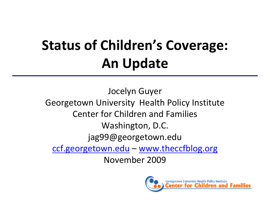# **Status of Children's Coverage: An Update**

Jocelyn Guyer Georgetown University Health Policy Institute Center for Children and Families Washington, D.C. jag99@georgetown.edu ccf.georgetown.edu – www.theccfblog.org November 2009

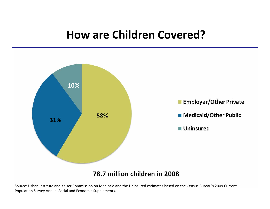### **How are Children Covered?**



78.7 million children in 2008

Source: Urban Institute and Kaiser Commission on Medicaid and the Uninsured estimates based on the Census Bureau's 2009 Current Population Survey Annual Social and Economic Supplements.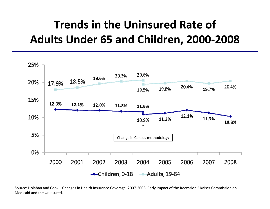# **Trends in the Uninsured Rate of Adults Under 65 and Children, 2000‐2008**



Source: Holahan and Cook. "Changes in Health Insurance Coverage, 2007‐2008: Early Impact of the Recession." Kaiser Commission on Medicaid and the Uninsured.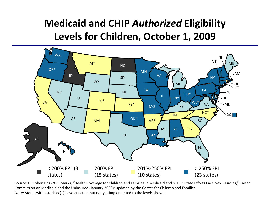### **Medicaid and CHIP** *Authorized* **Eligibility Levels for Children, October 1, 2009**



Source: D. Cohen Ross & C. Marks, "Health Coverage for Children and Families in Medicaid and SCHIP: State Efforts Face New Hurdles," Kaiser Commission on Medicaid and the Uninsured (January 2008); updated by the Center for Children and Families. Note: States with asterisks (\*) have enacted, but not yet implemented to the levels shown.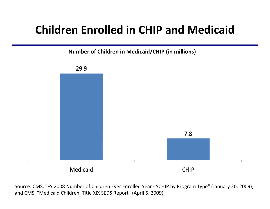## **Children Enrolled in CHIP and Medicaid**

**Number of Children in Medicaid/CHIP (in millions)**



Source: CMS, "FY 2008 Number of Children Ever Enrolled Year ‐ SCHIP by Program Type" (January 20, 2009); and CMS, "Medicaid Children, Title XIX SEDS Report" (April 6, 2009).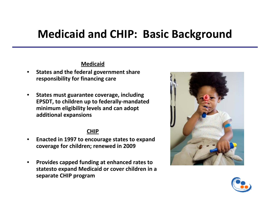### **Medicaid and CHIP: Basic Background**

#### **Medicaid**

- • **States and the federal government share responsibility for financing care**
- $\bullet$  **States must guarantee coverage, including EPSDT, to children up to federally‐mandated minimum eligibility levels and can adopt additional expansions**

#### **CHIP**

- • **Enacted in 1997 to encourage states to expand coverage for children; renewed in 2009**
- • **Provides capped funding at enhanced rates to statesto expand Medicaid or cover children in <sup>a</sup> separate CHIP program**



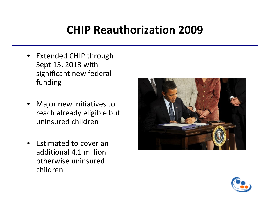# **CHIP Reauthorization 2009**

- Extended CHIP through Sept 13, 2013 with significant new federal funding
- Major new initiatives to reach already eligible but uninsured children
- Estimated to cover an additional 4.1 millionotherwise uninsured children



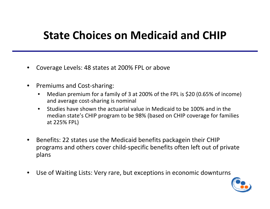### **State Choices on Medicaid and CHIP**

- •Coverage Levels: 48 states at 200% FPL or above
- $\bullet$ ● Premiums and Cost-sharing:
	- $\bullet$  Median premium for <sup>a</sup> family of 3 at 200% of the FPL is \$20 (0.65% of income) and average cost‐sharing is nominal
	- $\bullet$ **•** Studies have shown the actuarial value in Medicaid to be 100% and in the median state's CHIP program to be 98% (based on CHIP coverage for families at 225% FPL)
- •• Benefits: 22 states use the Medicaid benefits packagein their CHIP programs and others cover child‐specific benefits often left out of private plans
- •Use of Waiting Lists: Very rare, but exceptions in economic downturns

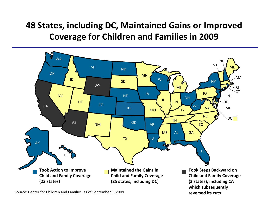### **48 States, including DC, Maintained Gains or Improved Coverage for Children and Families in 2009**



**reversed its cuts**

Source: Center for Children and Families, as of September 1, 2009.